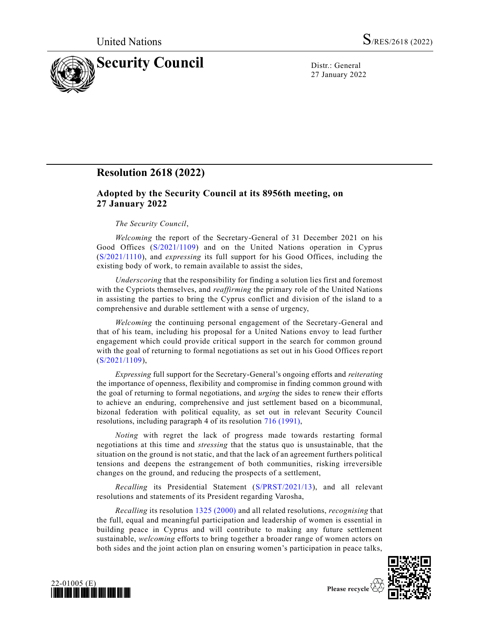

27 January 2022

## **Resolution 2618 (2022)**

## **Adopted by the Security Council at its 8956th meeting, on 27 January 2022**

## *The Security Council*,

*Welcoming* the report of the Secretary-General of 31 December 2021 on his Good Offices [\(S/2021/1109\)](https://undocs.org/en/S/2021/1109) and on the United Nations operation in Cyprus [\(S/2021/1110\)](https://undocs.org/en/S/2021/1110), and *expressing* its full support for his Good Offices, including the existing body of work, to remain available to assist the sides,

*Underscoring* that the responsibility for finding a solution lies first and foremost with the Cypriots themselves, and *reaffirming* the primary role of the United Nations in assisting the parties to bring the Cyprus conflict and division of the island to a comprehensive and durable settlement with a sense of urgency,

*Welcoming* the continuing personal engagement of the Secretary-General and that of his team, including his proposal for a United Nations envoy to lead further engagement which could provide critical support in the search for common ground with the goal of returning to formal negotiations as set out in his Good Offices re port [\(S/2021/1109\)](https://undocs.org/en/S/2021/1109),

*Expressing* full support for the Secretary-General's ongoing efforts and *reiterating* the importance of openness, flexibility and compromise in finding common ground with the goal of returning to formal negotiations, and *urging* the sides to renew their efforts to achieve an enduring, comprehensive and just settlement based on a bicommunal, bizonal federation with political equality, as set out in relevant Security Council resolutions, including paragraph 4 of its resolution [716 \(1991\),](https://undocs.org/en/S/RES/716(1991))

*Noting* with regret the lack of progress made towards restarting formal negotiations at this time and *stressing* that the status quo is unsustainable, that the situation on the ground is not static, and that the lack of an agreement furthers political tensions and deepens the estrangement of both communities, risking irreversible changes on the ground, and reducing the prospects of a settlement,

*Recalling* its Presidential Statement [\(S/PRST/2021/13\)](https://undocs.org/en/S/PRST/2021/13), and all relevant resolutions and statements of its President regarding Varosha,

*Recalling* its resolution [1325 \(2000\)](https://undocs.org/en/S/RES/1325(2000)) and all related resolutions, *recognising* that the full, equal and meaningful participation and leadership of women is essential in building peace in Cyprus and will contribute to making any future settlement sustainable, *welcoming* efforts to bring together a broader range of women actors on both sides and the joint action plan on ensuring women's participation in peace talks,



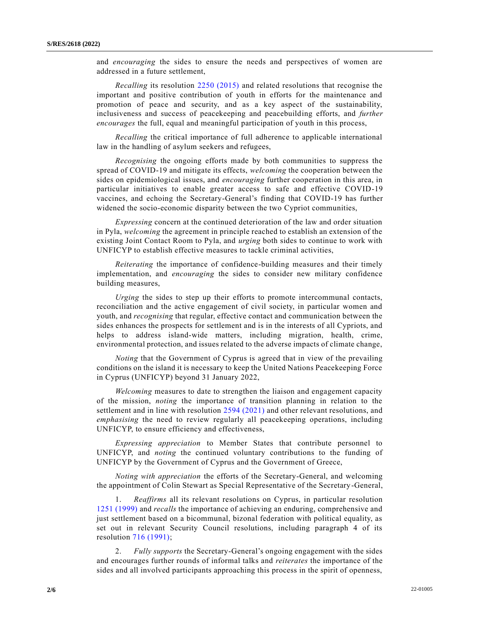and *encouraging* the sides to ensure the needs and perspectives of women are addressed in a future settlement,

*Recalling* its resolution [2250 \(2015\)](https://undocs.org/en/S/RES/2250(2015)) and related resolutions that recognise the important and positive contribution of youth in efforts for the maintenance and promotion of peace and security, and as a key aspect of the sustainability, inclusiveness and success of peacekeeping and peacebuilding efforts, and *further encourages* the full, equal and meaningful participation of youth in this process,

*Recalling* the critical importance of full adherence to applicable international law in the handling of asylum seekers and refugees,

*Recognising* the ongoing efforts made by both communities to suppress the spread of COVID-19 and mitigate its effects, *welcoming* the cooperation between the sides on epidemiological issues, and *encouraging* further cooperation in this area, in particular initiatives to enable greater access to safe and effective COVID-19 vaccines, and echoing the Secretary-General's finding that COVID-19 has further widened the socio-economic disparity between the two Cypriot communities,

*Expressing* concern at the continued deterioration of the law and order situation in Pyla, *welcoming* the agreement in principle reached to establish an extension of the existing Joint Contact Room to Pyla, and *urging* both sides to continue to work with UNFICYP to establish effective measures to tackle criminal activities,

*Reiterating* the importance of confidence-building measures and their timely implementation, and *encouraging* the sides to consider new military confidence building measures,

*Urging* the sides to step up their efforts to promote intercommunal contacts, reconciliation and the active engagement of civil society, in particular women and youth, and *recognising* that regular, effective contact and communication between the sides enhances the prospects for settlement and is in the interests of all Cypriots, and helps to address island-wide matters, including migration, health, crime, environmental protection, and issues related to the adverse impacts of climate change,

*Noting* that the Government of Cyprus is agreed that in view of the prevailing conditions on the island it is necessary to keep the United Nations Peacekeeping Force in Cyprus (UNFICYP) beyond 31 January 2022,

*Welcoming* measures to date to strengthen the liaison and engagement capacity of the mission, *noting* the importance of transition planning in relation to the settlement and in line with resolution [2594 \(2021\)](https://undocs.org/en/S/RES/2594(2021)) and other relevant resolutions, and *emphasising* the need to review regularly all peacekeeping operations, including UNFICYP, to ensure efficiency and effectiveness,

*Expressing appreciation* to Member States that contribute personnel to UNFICYP, and *noting* the continued voluntary contributions to the funding of UNFICYP by the Government of Cyprus and the Government of Greece,

*Noting with appreciation* the efforts of the Secretary-General, and welcoming the appointment of Colin Stewart as Special Representative of the Secretary-General,

1. *Reaffirms* all its relevant resolutions on Cyprus, in particular resolution [1251 \(1999\)](https://undocs.org/en/S/RES/1251(1999)) and *recalls* the importance of achieving an enduring, comprehensive and just settlement based on a bicommunal, bizonal federation with political equality, as set out in relevant Security Council resolutions, including paragraph 4 of its resolution [716 \(1991\);](https://undocs.org/en/S/RES/716(1991))

2. *Fully supports* the Secretary-General's ongoing engagement with the sides and encourages further rounds of informal talks and *reiterates* the importance of the sides and all involved participants approaching this process in the spirit of openness,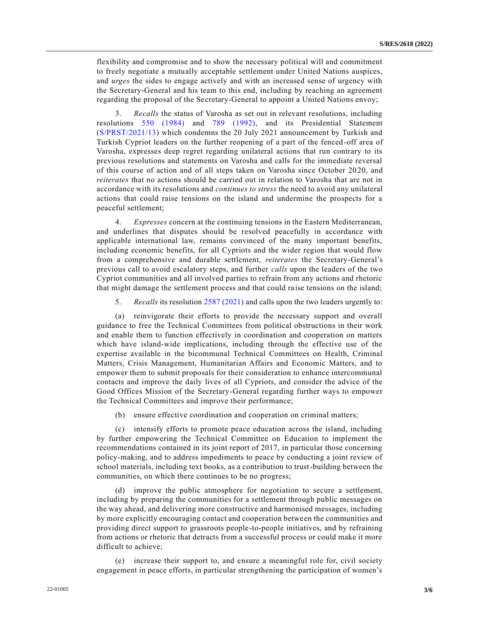flexibility and compromise and to show the necessary political will and commitment to freely negotiate a mutually acceptable settlement under United Nations auspices, and *urges* the sides to engage actively and with an increased sense of urgency with the Secretary-General and his team to this end, including by reaching an agreement regarding the proposal of the Secretary-General to appoint a United Nations envoy;

3. *Recalls* the status of Varosha as set out in relevant resolutions, including resolutions [550 \(1984\)](https://undocs.org/en/S/RES/550(1984)) and [789 \(1992\),](https://undocs.org/en/S/RES/789(1992)) and its Presidential Statement [\(S/PRST/2021/13\)](https://undocs.org/en/S/PRST/2021/13) which condemns the 20 July 2021 announcement by Turkish and Turkish Cypriot leaders on the further reopening of a part of the fenced-off area of Varosha, expresses deep regret regarding unilateral actions that run contrary to its previous resolutions and statements on Varosha and calls for the immediate reversal of this course of action and of all steps taken on Varosha since October 2020, and *reiterates* that no actions should be carried out in relation to Varosha that are not in accordance with its resolutions and *continues to stress* the need to avoid any unilateral actions that could raise tensions on the island and undermine the prospects for a peaceful settlement;

4. *Expresses* concern at the continuing tensions in the Eastern Mediterranean, and underlines that disputes should be resolved peacefully in accordance with applicable international law, remains convinced of the many important benefits, including economic benefits, for all Cypriots and the wider region that would flow from a comprehensive and durable settlement, *reiterates* the Secretary-General's previous call to avoid escalatory steps, and further *calls* upon the leaders of the two Cypriot communities and all involved parties to refrain from any actions and rhetoric that might damage the settlement process and that could raise tensions on the island;

5. *Recalls* its resolution [2587 \(2021\)](https://undocs.org/en/S/RES/2587(2021)) and calls upon the two leaders urgently to:

(a) reinvigorate their efforts to provide the necessary support and overall guidance to free the Technical Committees from political obstructions in their work and enable them to function effectively in coordination and cooperation on matters which have island-wide implications, including through the effective use of the expertise available in the bicommunal Technical Committees on Health, Criminal Matters, Crisis Management, Humanitarian Affairs and Economic Matters, and to empower them to submit proposals for their consideration to enhance intercommunal contacts and improve the daily lives of all Cypriots, and consider the advice of the Good Offices Mission of the Secretary-General regarding further ways to empower the Technical Committees and improve their performance;

(b) ensure effective coordination and cooperation on criminal matters;

(c) intensify efforts to promote peace education across the island, including by further empowering the Technical Committee on Education to implement the recommendations contained in its joint report of 2017, in particular those concerning policy-making, and to address impediments to peace by conducting a joint review of school materials, including text books, as a contribution to trust-building between the communities, on which there continues to be no progress;

(d) improve the public atmosphere for negotiation to secure a settlement, including by preparing the communities for a settlement through public messages on the way ahead, and delivering more constructive and harmonised messages, including by more explicitly encouraging contact and cooperation between the communities and providing direct support to grassroots people-to-people initiatives, and by refraining from actions or rhetoric that detracts from a successful process or could make it more difficult to achieve;

(e) increase their support to, and ensure a meaningful role for, civil society engagement in peace efforts, in particular strengthening the participation of women's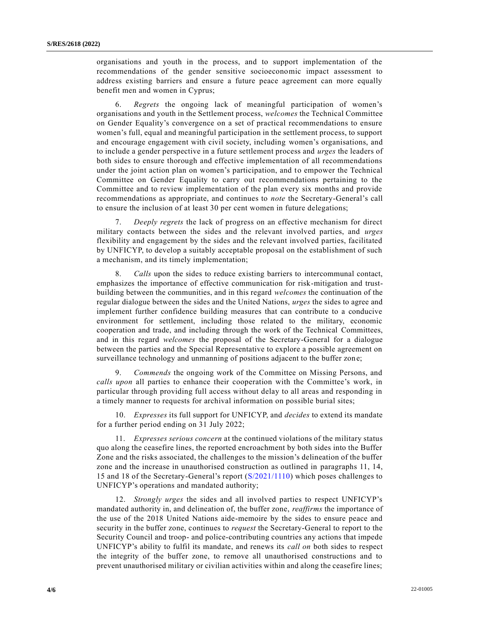organisations and youth in the process, and to support implementation of the recommendations of the gender sensitive socioeconomic impact assessment to address existing barriers and ensure a future peace agreement can more equally benefit men and women in Cyprus;

6. *Regrets* the ongoing lack of meaningful participation of women's organisations and youth in the Settlement process, *welcomes* the Technical Committee on Gender Equality's convergence on a set of practical recommendations to ensure women's full, equal and meaningful participation in the settlement process, to support and encourage engagement with civil society, including women's organisations, and to include a gender perspective in a future settlement process and *urges* the leaders of both sides to ensure thorough and effective implementation of all recommendations under the joint action plan on women's participation, and to empower the Technical Committee on Gender Equality to carry out recommendations pertaining to the Committee and to review implementation of the plan every six months and provide recommendations as appropriate, and continues to *note* the Secretary-General's call to ensure the inclusion of at least 30 per cent women in future delegations;

7. *Deeply regrets* the lack of progress on an effective mechanism for direct military contacts between the sides and the relevant involved parties, and *urges* flexibility and engagement by the sides and the relevant involved parties, facilitated by UNFICYP, to develop a suitably acceptable proposal on the establishment of such a mechanism, and its timely implementation;

8. *Calls* upon the sides to reduce existing barriers to intercommunal contact, emphasizes the importance of effective communication for risk-mitigation and trustbuilding between the communities, and in this regard *welcomes* the continuation of the regular dialogue between the sides and the United Nations, *urges* the sides to agree and implement further confidence building measures that can contribute to a conducive environment for settlement, including those related to the military, economic cooperation and trade, and including through the work of the Technical Committees, and in this regard *welcomes* the proposal of the Secretary-General for a dialogue between the parties and the Special Representative to explore a possible agreement on surveillance technology and unmanning of positions adjacent to the buffer zone;

9. *Commends* the ongoing work of the Committee on Missing Persons, and *calls upon* all parties to enhance their cooperation with the Committee's work, in particular through providing full access without delay to all areas and responding in a timely manner to requests for archival information on possible burial sites;

10. *Expresses* its full support for UNFICYP, and *decides* to extend its mandate for a further period ending on 31 July 2022;

11. *Expresses serious concern* at the continued violations of the military status quo along the ceasefire lines, the reported encroachment by both sides into the Buffer Zone and the risks associated, the challenges to the mission's delineation of the buffer zone and the increase in unauthorised construction as outlined in paragraphs 11, 14, 15 and 18 of the Secretary-General's report [\(S/2021/1110\)](https://undocs.org/en/S/2021/1110) which poses challenges to UNFICYP's operations and mandated authority;

12. *Strongly urges* the sides and all involved parties to respect UNFICYP's mandated authority in, and delineation of, the buffer zone, *reaffirms* the importance of the use of the 2018 United Nations aide-memoire by the sides to ensure peace and security in the buffer zone, continues to *request* the Secretary-General to report to the Security Council and troop- and police-contributing countries any actions that impede UNFICYP's ability to fulfil its mandate, and renews its *call on* both sides to respect the integrity of the buffer zone, to remove all unauthorised constructions and to prevent unauthorised military or civilian activities within and along the ceasefire lines;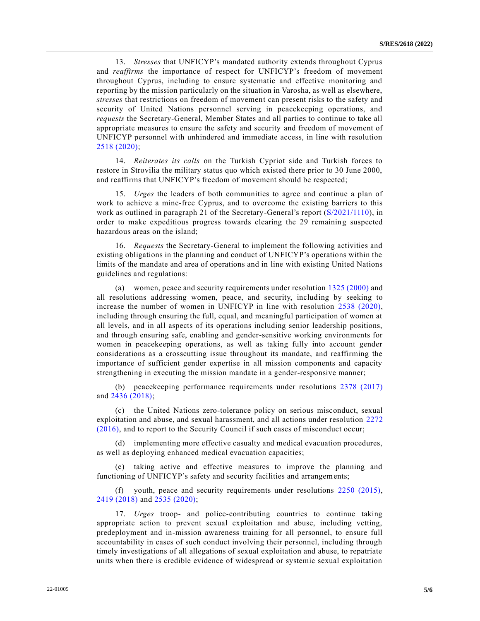13. *Stresses* that UNFICYP's mandated authority extends throughout Cyprus and *reaffirms* the importance of respect for UNFICYP's freedom of movement throughout Cyprus, including to ensure systematic and effective monitoring and reporting by the mission particularly on the situation in Varosha, as well as elsewhere, *stresses* that restrictions on freedom of movement can present risks to the safety and security of United Nations personnel serving in peacekeeping operations, and *requests* the Secretary-General, Member States and all parties to continue to take all appropriate measures to ensure the safety and security and freedom of movement of UNFICYP personnel with unhindered and immediate access, in line with resolution [2518 \(2020\);](https://undocs.org/en/S/RES/2518(2020))

14. *Reiterates its calls* on the Turkish Cypriot side and Turkish forces to restore in Strovilia the military status quo which existed there prior to 30 June 2000, and reaffirms that UNFICYP's freedom of movement should be respected;

15. *Urges* the leaders of both communities to agree and continue a plan of work to achieve a mine-free Cyprus, and to overcome the existing barriers to this work as outlined in paragraph 21 of the Secretary-General's report [\(S/2021/1110\)](https://undocs.org/en/S/2021/1110), in order to make expeditious progress towards clearing the 29 remaining suspected hazardous areas on the island;

16. *Requests* the Secretary-General to implement the following activities and existing obligations in the planning and conduct of UNFICYP's operations within the limits of the mandate and area of operations and in line with existing United Nations guidelines and regulations:

(a) women, peace and security requirements under resolution [1325 \(2000\)](https://undocs.org/en/S/RES/1325(2000)) and all resolutions addressing women, peace, and security, including by seeking to increase the number of women in UNFICYP in line with resolution [2538 \(2020\),](https://undocs.org/en/S/RES/2538(2020)) including through ensuring the full, equal, and meaningful participation of women at all levels, and in all aspects of its operations including senior leadership positions, and through ensuring safe, enabling and gender-sensitive working environments for women in peacekeeping operations, as well as taking fully into account gender considerations as a crosscutting issue throughout its mandate, and reaffirming the importance of sufficient gender expertise in all mission components and capacity strengthening in executing the mission mandate in a gender-responsive manner;

(b) peacekeeping performance requirements under resolutions [2378 \(2017\)](https://undocs.org/en/S/RES/2378(2017)) and [2436 \(2018\);](https://undocs.org/en/S/RES/2436(2018))

(c) the United Nations zero-tolerance policy on serious misconduct, sexual exploitation and abuse, and sexual harassment, and all actions under resolution [2272](https://undocs.org/en/S/RES/2272(2016))  [\(2016\),](https://undocs.org/en/S/RES/2272(2016)) and to report to the Security Council if such cases of misconduct occur;

(d) implementing more effective casualty and medical evacuation procedures, as well as deploying enhanced medical evacuation capacities;

(e) taking active and effective measures to improve the planning and functioning of UNFICYP's safety and security facilities and arrangements;

(f) youth, peace and security requirements under resolutions [2250 \(2015\),](https://undocs.org/en/S/RES/2250(2015)) [2419 \(2018\)](https://undocs.org/en/S/RES/2419(2018)) and [2535 \(2020\);](https://undocs.org/en/S/RES/2535(2020))

17. *Urges* troop- and police-contributing countries to continue taking appropriate action to prevent sexual exploitation and abuse, including vetting, predeployment and in-mission awareness training for all personnel, to ensure full accountability in cases of such conduct involving their personnel, including through timely investigations of all allegations of sexual exploitation and abuse, to repatriate units when there is credible evidence of widespread or systemic sexual exploitation